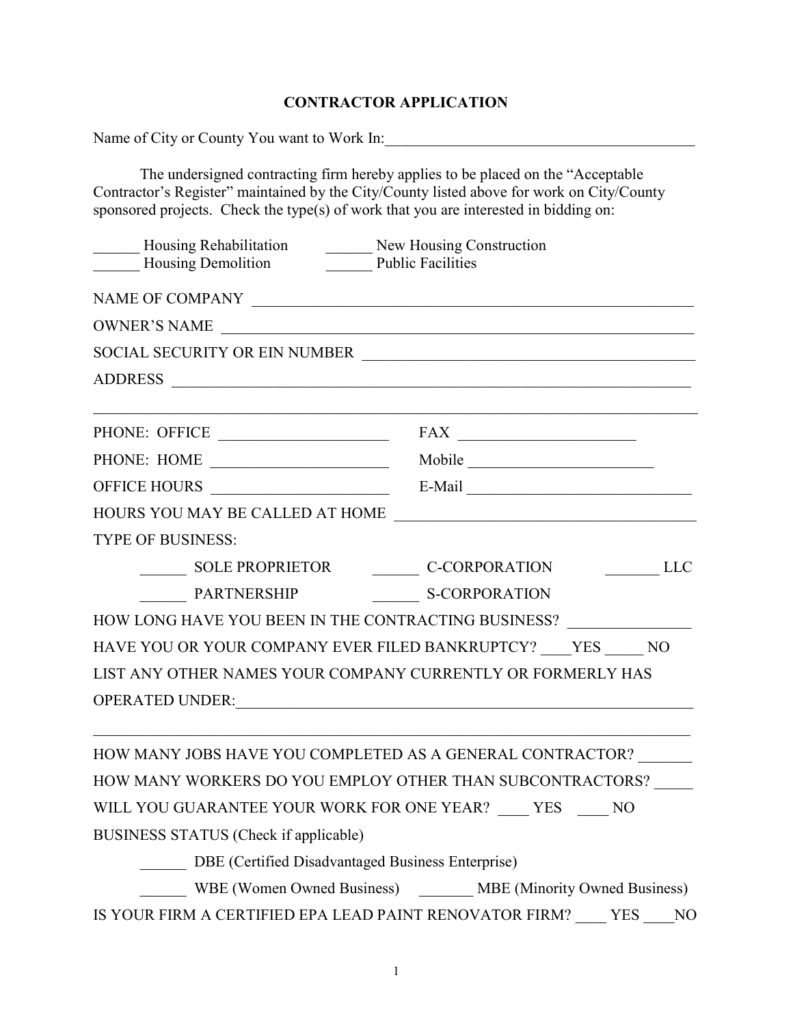## CONTRACTOR APPLICATION

| Name of City or County You want to Work In:       |                                                                                                                                                                                                                                                                                                                                                                                                                                                        |  |
|---------------------------------------------------|--------------------------------------------------------------------------------------------------------------------------------------------------------------------------------------------------------------------------------------------------------------------------------------------------------------------------------------------------------------------------------------------------------------------------------------------------------|--|
|                                                   | The undersigned contracting firm hereby applies to be placed on the "Acceptable"<br>Contractor's Register" maintained by the City/County listed above for work on City/County<br>sponsored projects. Check the type(s) of work that you are interested in bidding on:                                                                                                                                                                                  |  |
| <b>Housing Demolition</b>                         | _Housing Rehabilitation __________ New Housing Construction<br>Public Facilities                                                                                                                                                                                                                                                                                                                                                                       |  |
|                                                   |                                                                                                                                                                                                                                                                                                                                                                                                                                                        |  |
| OWNER'S NAME                                      |                                                                                                                                                                                                                                                                                                                                                                                                                                                        |  |
|                                                   | SOCIAL SECURITY OR EIN NUMBER                                                                                                                                                                                                                                                                                                                                                                                                                          |  |
|                                                   |                                                                                                                                                                                                                                                                                                                                                                                                                                                        |  |
| PHONE: OFFICE                                     | $\textbf{FAX} \begin{tabular}{ c c c } \hline \multicolumn{1}{ c }{\textbf{FAX}} & \multicolumn{1}{ c }{\textbf{FAX}} \\ \hline \multicolumn{1}{ c }{\textbf{FAX}} & \multicolumn{1}{ c }{\textbf{FAX}} \\ \hline \multicolumn{1}{ c }{\textbf{FAX}} & \multicolumn{1}{ c }{\textbf{FAX}} \\ \hline \multicolumn{1}{ c }{\textbf{FAX}} & \multicolumn{1}{ c }{\textbf{FAX}} \\ \hline \multicolumn{1}{ c }{\textbf{FAX}} & \multicolumn{1}{ c }{\text$ |  |
| PHONE: HOME                                       | Mobile                                                                                                                                                                                                                                                                                                                                                                                                                                                 |  |
| OFFICE HOURS ______________________               |                                                                                                                                                                                                                                                                                                                                                                                                                                                        |  |
|                                                   |                                                                                                                                                                                                                                                                                                                                                                                                                                                        |  |
| <b>TYPE OF BUSINESS:</b>                          |                                                                                                                                                                                                                                                                                                                                                                                                                                                        |  |
| <b>SOLE PROPRIETOR</b>                            | <b>LLC</b><br>C-CORPORATION                                                                                                                                                                                                                                                                                                                                                                                                                            |  |
| PARTNERSHIP                                       | <b>S-CORPORATION</b>                                                                                                                                                                                                                                                                                                                                                                                                                                   |  |
|                                                   | HOW LONG HAVE YOU BEEN IN THE CONTRACTING BUSINESS? ____________________________                                                                                                                                                                                                                                                                                                                                                                       |  |
|                                                   | HAVE YOU OR YOUR COMPANY EVER FILED BANKRUPTCY? YES NO                                                                                                                                                                                                                                                                                                                                                                                                 |  |
|                                                   | LIST ANY OTHER NAMES YOUR COMPANY CURRENTLY OR FORMERLY HAS                                                                                                                                                                                                                                                                                                                                                                                            |  |
| <b>OPERATED UNDER:</b>                            |                                                                                                                                                                                                                                                                                                                                                                                                                                                        |  |
|                                                   | HOW MANY JOBS HAVE YOU COMPLETED AS A GENERAL CONTRACTOR?                                                                                                                                                                                                                                                                                                                                                                                              |  |
|                                                   | HOW MANY WORKERS DO YOU EMPLOY OTHER THAN SUBCONTRACTORS?                                                                                                                                                                                                                                                                                                                                                                                              |  |
|                                                   | WILL YOU GUARANTEE YOUR WORK FOR ONE YEAR? ____ YES ____ NO                                                                                                                                                                                                                                                                                                                                                                                            |  |
| BUSINESS STATUS (Check if applicable)             |                                                                                                                                                                                                                                                                                                                                                                                                                                                        |  |
| DBE (Certified Disadvantaged Business Enterprise) |                                                                                                                                                                                                                                                                                                                                                                                                                                                        |  |
|                                                   | WBE (Women Owned Business) _______ MBE (Minority Owned Business)                                                                                                                                                                                                                                                                                                                                                                                       |  |
|                                                   | IS YOUR FIRM A CERTIFIED EPA LEAD PAINT RENOVATOR FIRM? YES<br>NO                                                                                                                                                                                                                                                                                                                                                                                      |  |